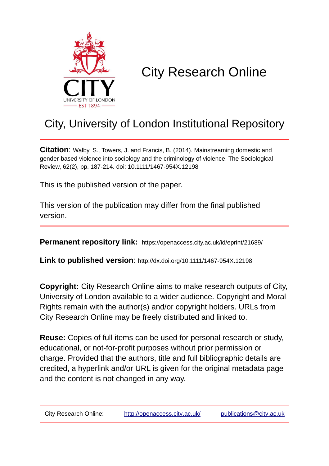

# City Research Online

## City, University of London Institutional Repository

**Citation**: Walby, S., Towers, J. and Francis, B. (2014). Mainstreaming domestic and gender-based violence into sociology and the criminology of violence. The Sociological Review, 62(2), pp. 187-214. doi: 10.1111/1467-954X.12198

This is the published version of the paper.

This version of the publication may differ from the final published version.

**Permanent repository link:** https://openaccess.city.ac.uk/id/eprint/21689/

**Link to published version**: http://dx.doi.org/10.1111/1467-954X.12198

**Copyright:** City Research Online aims to make research outputs of City, University of London available to a wider audience. Copyright and Moral Rights remain with the author(s) and/or copyright holders. URLs from City Research Online may be freely distributed and linked to.

**Reuse:** Copies of full items can be used for personal research or study, educational, or not-for-profit purposes without prior permission or charge. Provided that the authors, title and full bibliographic details are credited, a hyperlink and/or URL is given for the original metadata page and the content is not changed in any way.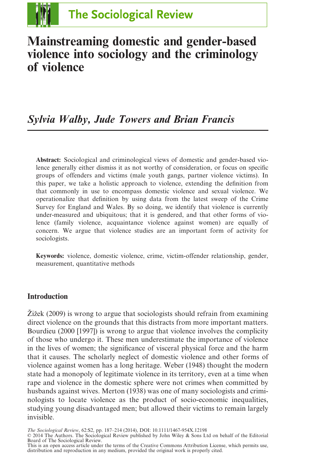## **Mainstreaming domestic and gender-based violence into sociology and the criminology of violence**

### *Sylvia Walby, Jude Towers and Brian Francis*

**Abstract:** Sociological and criminological views of domestic and gender-based violence generally either dismiss it as not worthy of consideration, or focus on specific groups of offenders and victims (male youth gangs, partner violence victims). In this paper, we take a holistic approach to violence, extending the definition from that commonly in use to encompass domestic violence and sexual violence. We operationalize that definition by using data from the latest sweep of the Crime Survey for England and Wales. By so doing, we identify that violence is currently under-measured and ubiquitous; that it is gendered, and that other forms of violence (family violence, acquaintance violence against women) are equally of concern. We argue that violence studies are an important form of activity for sociologists.

**Keywords:** violence, domestic violence, crime, victim-offender relationship, gender, measurement, quantitative methods

#### **Introduction**

Žižek (2009) is wrong to argue that sociologists should refrain from examining direct violence on the grounds that this distracts from more important matters. Bourdieu (2000 [1997]) is wrong to argue that violence involves the complicity of those who undergo it. These men underestimate the importance of violence in the lives of women; the significance of visceral physical force and the harm that it causes. The scholarly neglect of domestic violence and other forms of violence against women has a long heritage. Weber (1948) thought the modern state had a monopoly of legitimate violence in its territory, even at a time when rape and violence in the domestic sphere were not crimes when committed by husbands against wives. Merton (1938) was one of many sociologists and criminologists to locate violence as the product of socio-economic inequalities, studying young disadvantaged men; but allowed their victims to remain largely invisible.

*The Sociological Review*, 62:S2, pp. 187–214 (2014), DOI: 10.1111/1467-954X.12198 © 2014 The Authors. The Sociological Review published by John Wiley & Sons Ltd on behalf of the Editorial Board of The Sociological Review.

This is an open access article under the terms of the [Creative Commons Attribution](http://creativecommons.org/licenses/by/3.0) License, which permits use, distribution and reproduction in any medium, provided the original work is properly cited.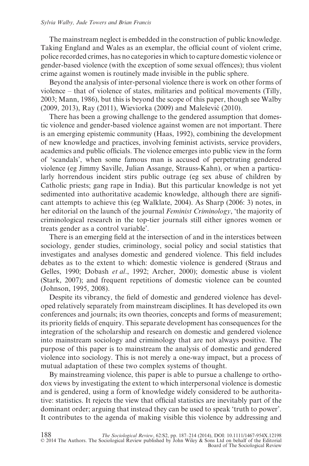The mainstream neglect is embedded in the construction of public knowledge. Taking England and Wales as an exemplar, the official count of violent crime, police recorded crimes, has no categories in which to capture domestic violence or gender-based violence (with the exception of some sexual offences); thus violent crime against women is routinely made invisible in the public sphere.

Beyond the analysis of inter-personal violence there is work on other forms of violence – that of violence of states, militaries and political movements (Tilly, 2003; Mann, 1986), but this is beyond the scope of this paper, though see Walby (2009, 2013), Ray (2011), Wieviorka (2009) and Maleševic´ (2010).

There has been a growing challenge to the gendered assumption that domestic violence and gender-based violence against women are not important. There is an emerging epistemic community (Haas, 1992), combining the development of new knowledge and practices, involving feminist activists, service providers, academics and public officials. The violence emerges into public view in the form of 'scandals', when some famous man is accused of perpetrating gendered violence (eg Jimmy Saville, Julian Assange, Strauss-Kahn), or when a particularly horrendous incident stirs public outrage (eg sex abuse of children by Catholic priests; gang rape in India). But this particular knowledge is not yet sedimented into authoritative academic knowledge, although there are significant attempts to achieve this (eg Walklate, 2004). As Sharp (2006: 3) notes, in her editorial on the launch of the journal *Feminist Criminology*, 'the majority of criminological research in the top-tier journals still either ignores women or treats gender as a control variable'.

There is an emerging field at the intersection of and in the interstices between sociology, gender studies, criminology, social policy and social statistics that investigates and analyses domestic and gendered violence. This field includes debates as to the extent to which: domestic violence is gendered (Straus and Gelles, 1990; Dobash *et al*., 1992; Archer, 2000); domestic abuse is violent (Stark, 2007); and frequent repetitions of domestic violence can be counted (Johnson, 1995, 2008).

Despite its vibrancy, the field of domestic and gendered violence has developed relatively separately from mainstream disciplines. It has developed its own conferences and journals; its own theories, concepts and forms of measurement; its priority fields of enquiry. This separate development has consequences for the integration of the scholarship and research on domestic and gendered violence into mainstream sociology and criminology that are not always positive. The purpose of this paper is to mainstream the analysis of domestic and gendered violence into sociology. This is not merely a one-way impact, but a process of mutual adaptation of these two complex systems of thought.

By mainstreaming violence, this paper is able to pursue a challenge to orthodox views by investigating the extent to which interpersonal violence is domestic and is gendered, using a form of knowledge widely considered to be authoritative: statistics. It rejects the view that official statistics are inevitably part of the dominant order; arguing that instead they can be used to speak 'truth to power'. It contributes to the agenda of making visible this violence by addressing and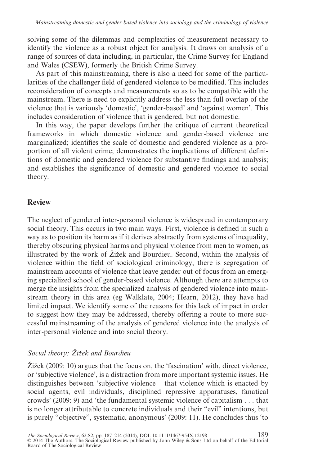solving some of the dilemmas and complexities of measurement necessary to identify the violence as a robust object for analysis. It draws on analysis of a range of sources of data including, in particular, the Crime Survey for England and Wales (CSEW), formerly the British Crime Survey.

As part of this mainstreaming, there is also a need for some of the particularities of the challenger field of gendered violence to be modified. This includes reconsideration of concepts and measurements so as to be compatible with the mainstream. There is need to explicitly address the less than full overlap of the violence that is variously 'domestic', 'gender-based' and 'against women'. This includes consideration of violence that is gendered, but not domestic.

In this way, the paper develops further the critique of current theoretical frameworks in which domestic violence and gender-based violence are marginalized; identifies the scale of domestic and gendered violence as a proportion of all violent crime; demonstrates the implications of different definitions of domestic and gendered violence for substantive findings and analysis; and establishes the significance of domestic and gendered violence to social theory.

#### **Review**

The neglect of gendered inter-personal violence is widespread in contemporary social theory. This occurs in two main ways. First, violence is defined in such a way as to position its harm as if it derives abstractly from systems of inequality, thereby obscuring physical harms and physical violence from men to women, as illustrated by the work of Žižek and Bourdieu. Second, within the analysis of violence within the field of sociological criminology, there is segregation of mainstream accounts of violence that leave gender out of focus from an emerging specialized school of gender-based violence. Although there are attempts to merge the insights from the specialized analysis of gendered violence into mainstream theory in this area (eg Walklate, 2004; Hearn, 2012), they have had limited impact. We identify some of the reasons for this lack of impact in order to suggest how they may be addressed, thereby offering a route to more successful mainstreaming of the analysis of gendered violence into the analysis of inter-personal violence and into social theory.

#### *Social theory: Žižek and Bourdieu*

Žižek (2009: 10) argues that the focus on, the 'fascination' with, direct violence, or 'subjective violence', is a distraction from more important systemic issues. He distinguishes between 'subjective violence – that violence which is enacted by social agents, evil individuals, disciplined repressive apparatuses, fanatical crowds' (2009: 9) and 'the fundamental systemic violence of capitalism . . . that is no longer attributable to concrete individuals and their "evil" intentions, but is purely "objective", systematic, anonymous' (2009: 11). He concludes thus 'to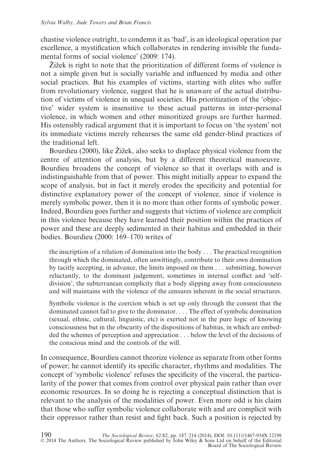chastise violence outright, to condemn it as 'bad', is an ideological operation par excellence, a mystification which collaborates in rendering invisible the fundamental forms of social violence' (2009: 174).

Žižek is right to note that the prioritization of different forms of violence is not a simple given but is socially variable and influenced by media and other social practices. But his examples of victims, starting with elites who suffer from revolutionary violence, suggest that he is unaware of the actual distribution of victims of violence in unequal societies. His prioritization of the 'objective' wider system is insensitive to these actual patterns in inter-personal violence, in which women and other minoritized groups are further harmed. His ostensibly radical argument that it is important to focus on 'the system' not its immediate victims merely rehearses the same old gender-blind practices of the traditional left.

Bourdieu (2000), like Žižek, also seeks to displace physical violence from the centre of attention of analysis, but by a different theoretical manoeuvre. Bourdieu broadens the concept of violence so that it overlaps with and is indistinguishable from that of power. This might initially appear to expand the scope of analysis, but in fact it merely erodes the specificity and potential for distinctive explanatory power of the concept of violence, since if violence is merely symbolic power, then it is no more than other forms of symbolic power. Indeed, Bourdieu goes further and suggests that victims of violence are complicit in this violence because they have learned their position within the practices of power and these are deeply sedimented in their habitus and embedded in their bodies. Bourdieu (2000: 169–170) writes of

the inscription of a relation of domination into the body . . . The practical recognition through which the dominated, often unwittingly, contribute to their own domination by tacitly accepting, in advance, the limits imposed on them . . . submitting, however reluctantly, to the dominant judgement, sometimes in internal conflict and 'selfdivision', the subterranean complicity that a body slipping away from consciousness and will maintains with the violence of the censures inherent in the social structures.

Symbolic violence is the coercion which is set up only through the consent that the dominated cannot fail to give to the dominator. . . . The effect of symbolic domination (sexual, ethnic, cultural, linguistic, etc) is exerted not in the pure logic of knowing consciousness but in the obscurity of the dispositions of habitus, in which are embedded the schemes of perception and appreciation . . . below the level of the decisions of the conscious mind and the controls of the will.

In consequence, Bourdieu cannot theorize violence as separate from other forms of power; he cannot identify its specific character, rhythms and modalities. The concept of 'symbolic violence' refuses the specificity of the visceral, the particularity of the power that comes from control over physical pain rather than over economic resources. In so doing he is rejecting a conceptual distinction that is relevant to the analysis of the modalities of power. Even more odd is his claim that those who suffer symbolic violence collaborate with and are complicit with their oppressor rather than resist and fight back. Such a position is rejected by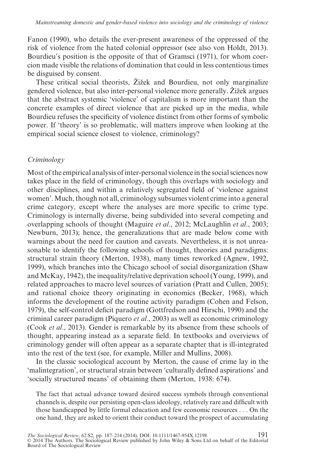Fanon (1990), who details the ever-present awareness of the oppressed of the risk of violence from the hated colonial oppressor (see also von Holdt, 2013). Bourdieu's position is the opposite of that of Gramsci (1971), for whom coercion made visible the relations of domination that could in less contentious times be disguised by consent.

These critical social theorists, Žižek and Bourdieu, not only marginalize gendered violence, but also inter-personal violence more generally. Žižek argues that the abstract systemic 'violence' of capitalism is more important than the concrete examples of direct violence that are picked up in the media, while Bourdieu refuses the specificity of violence distinct from other forms of symbolic power. If 'theory' is so problematic, will matters improve when looking at the empirical social science closest to violence, criminology?

#### *Criminology*

Most of the empirical analysis of inter-personal violence in the social sciences now takes place in the field of criminology, though this overlaps with sociology and other disciplines, and within a relatively segregated field of 'violence against women'.Much, though not all, criminology subsumes violent crime into a general crime category, except where the analyses are more specific to crime type. Criminology is internally diverse, being subdivided into several competing and overlapping schools of thought (Maguire *et al*., 2012; McLaughlin *et al*., 2003; Newburn, 2013); hence, the generalizations that are made below come with warnings about the need for caution and caveats. Nevertheless, it is not unreasonable to identify the following schools of thought, theories and paradigms: structural strain theory (Merton, 1938), many times reworked (Agnew, 1992, 1999), which branches into the Chicago school of social disorganization (Shaw and McKay, 1942), the inequality/relative deprivation school (Young, 1999), and related approaches to macro level sources of variation (Pratt and Cullen, 2005); and rational choice theory originating in economics (Becker, 1968), which informs the development of the routine activity paradigm (Cohen and Felson, 1979), the self-control deficit paradigm (Gottfredson and Hirschi, 1990) and the criminal career paradigm (Piquero *et al*., 2003) as well as economic criminology (Cook *et al*., 2013). Gender is remarkable by its absence from these schools of thought, appearing instead as a separate field. In textbooks and overviews of criminology gender will often appear as a separate chapter that is ill-integrated into the rest of the text (see, for example, Miller and Mullins, 2008).

In the classic sociological account by Merton, the cause of crime lay in the 'malintegration', or structural strain between 'culturally defined aspirations' and 'socially structured means' of obtaining them (Merton, 1938: 674).

The fact that actual advance toward desired success symbols through conventional channels is, despite our persisting open-class ideology, relatively rare and difficult with those handicapped by little formal education and few economic resources . . . On the one hand, they are asked to orient their conduct toward the prospect of accumulating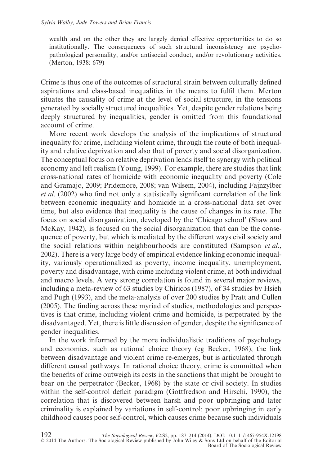wealth and on the other they are largely denied effective opportunities to do so institutionally. The consequences of such structural inconsistency are psychopathological personality, and/or antisocial conduct, and/or revolutionary activities. (Merton, 1938: 679)

Crime is thus one of the outcomes of structural strain between culturally defined aspirations and class-based inequalities in the means to fulfil them. Merton situates the causality of crime at the level of social structure, in the tensions generated by socially structured inequalities. Yet, despite gender relations being deeply structured by inequalities, gender is omitted from this foundational account of crime.

More recent work develops the analysis of the implications of structural inequality for crime, including violent crime, through the route of both inequality and relative deprivation and also that of poverty and social disorganization. The conceptual focus on relative deprivation lends itself to synergy with political economy and left realism (Young, 1999). For example, there are studies that link cross-national rates of homicide with economic inequality and poverty (Cole and Gramajo, 2009; Pridemore, 2008; van Wilsem, 2004), including Fajnzylber *et al*. (2002) who find not only a statistically significant correlation of the link between economic inequality and homicide in a cross-national data set over time, but also evidence that inequality is the cause of changes in its rate. The focus on social disorganization, developed by the 'Chicago school' (Shaw and McKay, 1942), is focused on the social disorganization that can be the consequence of poverty, but which is mediated by the different ways civil society and the social relations within neighbourhoods are constituted (Sampson *et al*., 2002). There is a very large body of empirical evidence linking economic inequality, variously operationalized as poverty, income inequality, unemployment, poverty and disadvantage, with crime including violent crime, at both individual and macro levels. A very strong correlation is found in several major reviews, including a meta-review of 63 studies by Chiricos (1987), of 34 studies by Hsieh and Pugh (1993), and the meta-analysis of over 200 studies by Pratt and Cullen (2005). The finding across these myriad of studies, methodologies and perspectives is that crime, including violent crime and homicide, is perpetrated by the disadvantaged. Yet, there is little discussion of gender, despite the significance of gender inequalities.

In the work informed by the more individualistic traditions of psychology and economics, such as rational choice theory (eg Becker, 1968), the link between disadvantage and violent crime re-emerges, but is articulated through different causal pathways. In rational choice theory, crime is committed when the benefits of crime outweigh its costs in the sanctions that might be brought to bear on the perpetrator (Becker, 1968) by the state or civil society. In studies within the self-control deficit paradigm (Gottfredson and Hirschi, 1990), the correlation that is discovered between harsh and poor upbringing and later criminality is explained by variations in self-control: poor upbringing in early childhood causes poor self-control, which causes crime because such individuals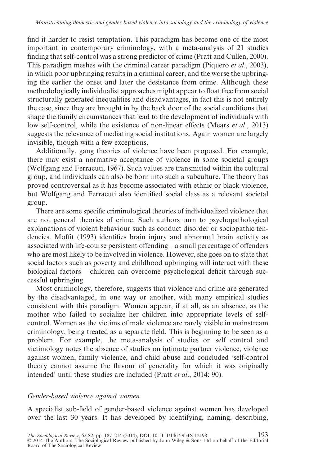find it harder to resist temptation. This paradigm has become one of the most important in contemporary criminology, with a meta-analysis of 21 studies finding that self-control was a strong predictor of crime (Pratt and Cullen, 2000). This paradigm meshes with the criminal career paradigm (Piquero *et al*., 2003), in which poor upbringing results in a criminal career, and the worse the upbringing the earlier the onset and later the desistance from crime. Although these methodologically individualist approaches might appear to float free from social structurally generated inequalities and disadvantages, in fact this is not entirely the case, since they are brought in by the back door of the social conditions that shape the family circumstances that lead to the development of individuals with low self-control, while the existence of non-linear effects (Mears *et al*., 2013) suggests the relevance of mediating social institutions. Again women are largely invisible, though with a few exceptions.

Additionally, gang theories of violence have been proposed. For example, there may exist a normative acceptance of violence in some societal groups (Wolfgang and Ferracuti, 1967). Such values are transmitted within the cultural group, and individuals can also be born into such a subculture. The theory has proved controversial as it has become associated with ethnic or black violence, but Wolfgang and Ferracuti also identified social class as a relevant societal group.

There are some specific criminological theories of individualized violence that are not general theories of crime. Such authors turn to psychopathological explanations of violent behaviour such as conduct disorder or sociopathic tendencies. Moffit (1993) identifies brain injury and abnormal brain activity as associated with life-course persistent offending – a small percentage of offenders who are most likely to be involved in violence. However, she goes on to state that social factors such as poverty and childhood upbringing will interact with these biological factors – children can overcome psychological deficit through successful upbringing.

Most criminology, therefore, suggests that violence and crime are generated by the disadvantaged, in one way or another, with many empirical studies consistent with this paradigm. Women appear, if at all, as an absence, as the mother who failed to socialize her children into appropriate levels of selfcontrol. Women as the victims of male violence are rarely visible in mainstream criminology, being treated as a separate field. This is beginning to be seen as a problem. For example, the meta-analysis of studies on self control and victimology notes the absence of studies on intimate partner violence, violence against women, family violence, and child abuse and concluded 'self-control theory cannot assume the flavour of generality for which it was originally intended' until these studies are included (Pratt *et al*., 2014: 90).

#### *Gender-based violence against women*

A specialist sub-field of gender-based violence against women has developed over the last 30 years. It has developed by identifying, naming, describing,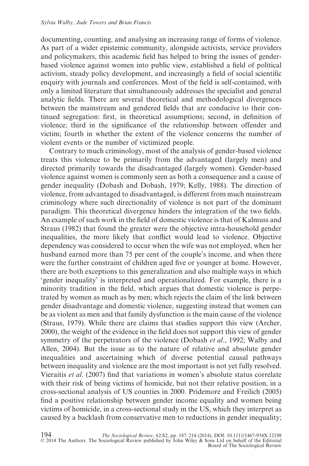documenting, counting, and analysing an increasing range of forms of violence. As part of a wider epistemic community, alongside activists, service providers and policymakers, this academic field has helped to bring the issues of genderbased violence against women into public view, established a field of political activism, steady policy development, and increasingly a field of social scientific enquiry with journals and conferences. Most of the field is self-contained, with only a limited literature that simultaneously addresses the specialist and general analytic fields. There are several theoretical and methodological divergences between the mainstream and gendered fields that are conducive to their continued segregation: first, in theoretical assumptions; second, in definition of violence; third in the significance of the relationship between offender and victim; fourth in whether the extent of the violence concerns the number of violent events or the number of victimized people.

Contrary to much criminology, most of the analysis of gender-based violence treats this violence to be primarily from the advantaged (largely men) and directed primarily towards the disadvantaged (largely women). Gender-based violence against women is commonly seen as both a consequence and a cause of gender inequality (Dobash and Dobash, 1979; Kelly, 1988). The direction of violence, from advantaged to disadvantaged, is different from much mainstream criminology where such directionality of violence is not part of the dominant paradigm. This theoretical divergence hinders the integration of the two fields. An example of such work in the field of domestic violence is that of Kalmuss and Straus (1982) that found the greater were the objective intra-household gender inequalities, the more likely that conflict would lead to violence. Objective dependency was considered to occur when the wife was not employed, when her husband earned more than 75 per cent of the couple's income, and when there were the further constraint of children aged five or younger at home. However, there are both exceptions to this generalization and also multiple ways in which 'gender inequality' is interpreted and operationalized. For example, there is a minority tradition in the field, which argues that domestic violence is perpetrated by women as much as by men; which rejects the claim of the link between gender disadvantage and domestic violence, suggesting instead that women can be as violent as men and that family dysfunction is the main cause of the violence (Straus, 1979). While there are claims that studies support this view (Archer, 2000), the weight of the evidence in the field does not support this view of gender symmetry of the perpetrators of the violence (Dobash *et al*., 1992; Walby and Allen, 2004). But the issue as to the nature of relative and absolute gender inequalities and ascertaining which of diverse potential causal pathways between inequality and violence are the most important is not yet fully resolved. Vieraitis *et al*. (2007) find that variations in women's absolute status correlate with their risk of being victims of homicide, but not their relative position, in a cross-sectional analysis of US counties in 2000. Pridemore and Freilich (2005) find a positive relationship between gender income equality and women being victims of homicide, in a cross-sectional study in the US, which they interpret as caused by a backlash from conservative men to reductions in gender inequality;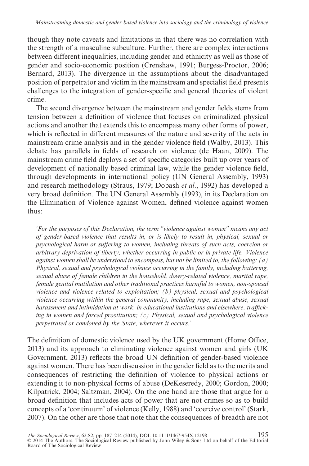though they note caveats and limitations in that there was no correlation with the strength of a masculine subculture. Further, there are complex interactions between different inequalities, including gender and ethnicity as well as those of gender and socio-economic position (Crenshaw, 1991; Burgess-Proctor, 2006; Bernard, 2013). The divergence in the assumptions about the disadvantaged position of perpetrator and victim in the mainstream and specialist field presents challenges to the integration of gender-specific and general theories of violent crime.

The second divergence between the mainstream and gender fields stems from tension between a definition of violence that focuses on criminalized physical actions and another that extends this to encompass many other forms of power, which is reflected in different measures of the nature and severity of the acts in mainstream crime analysis and in the gender violence field (Walby, 2013). This debate has parallels in fields of research on violence (de Haan, 2009). The mainstream crime field deploys a set of specific categories built up over years of development of nationally based criminal law, while the gender violence field, through developments in international policy (UN General Assembly, 1993) and research methodology (Straus, 1979; Dobash *et al*., 1992) has developed a very broad definition. The UN General Assembly (1993), in its Declaration on the Elimination of Violence against Women, defined violence against women thus:

*'For the purposes of this Declaration, the term "violence against women" means any act of gender-based violence that results in, or is likely to result in, physical, sexual or psychological harm or suffering to women, including threats of such acts, coercion or arbitrary deprivation of liberty, whether occurring in public or in private life. Violence against women shall be understood to encompass, but not be limited to, the following: (a) Physical, sexual and psychological violence occurring in the family, including battering, sexual abuse of female children in the household, dowry-related violence, marital rape, female genital mutilation and other traditional practices harmful to women, non-spousal violence and violence related to exploitation; (b) physical, sexual and psychological violence occurring within the general community, including rape, sexual abuse, sexual harassment and intimidation at work, in educational institutions and elsewhere, trafficking in women and forced prostitution; (c) Physical, sexual and psychological violence perpetrated or condoned by the State, wherever it occurs.'*

The definition of domestic violence used by the UK government (Home Office, 2013) and its approach to eliminating violence against women and girls (UK Government, 2013) reflects the broad UN definition of gender-based violence against women. There has been discussion in the gender field as to the merits and consequences of restricting the definition of violence to physical actions or extending it to non-physical forms of abuse (DeKeseredy, 2000; Gordon, 2000; Kilpatrick, 2004; Saltzman, 2004). On the one hand are those that argue for a broad definition that includes acts of power that are not crimes so as to build concepts of a 'continuum' of violence (Kelly, 1988) and 'coercive control' (Stark, 2007). On the other are those that note that the consequences of breadth are not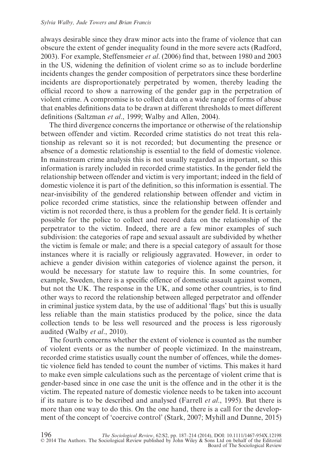always desirable since they draw minor acts into the frame of violence that can obscure the extent of gender inequality found in the more severe acts (Radford, 2003). For example, Steffensmeier *et al*. (2006) find that, between 1980 and 2003 in the US, widening the definition of violent crime so as to include borderline incidents changes the gender composition of perpetrators since these borderline incidents are disproportionately perpetrated by women, thereby leading the official record to show a narrowing of the gender gap in the perpetration of violent crime. A compromise is to collect data on a wide range of forms of abuse that enables definitions data to be drawn at different thresholds to meet different definitions (Saltzman *et al*., 1999; Walby and Allen, 2004).

The third divergence concerns the importance or otherwise of the relationship between offender and victim. Recorded crime statistics do not treat this relationship as relevant so it is not recorded; but documenting the presence or absence of a domestic relationship is essential to the field of domestic violence. In mainstream crime analysis this is not usually regarded as important, so this information is rarely included in recorded crime statistics. In the gender field the relationship between offender and victim is very important; indeed in the field of domestic violence it is part of the definition, so this information is essential. The near-invisibility of the gendered relationship between offender and victim in police recorded crime statistics, since the relationship between offender and victim is not recorded there, is thus a problem for the gender field. It is certainly possible for the police to collect and record data on the relationship of the perpetrator to the victim. Indeed, there are a few minor examples of such subdivision: the categories of rape and sexual assault are subdivided by whether the victim is female or male; and there is a special category of assault for those instances where it is racially or religiously aggravated. However, in order to achieve a gender division within categories of violence against the person, it would be necessary for statute law to require this. In some countries, for example, Sweden, there is a specific offence of domestic assault against women, but not the UK. The response in the UK, and some other countries, is to find other ways to record the relationship between alleged perpetrator and offender in criminal justice system data, by the use of additional 'flags' but this is usually less reliable than the main statistics produced by the police, since the data collection tends to be less well resourced and the process is less rigorously audited (Walby *et al*., 2010).

The fourth concerns whether the extent of violence is counted as the number of violent events or as the number of people victimized. In the mainstream, recorded crime statistics usually count the number of offences, while the domestic violence field has tended to count the number of victims. This makes it hard to make even simple calculations such as the percentage of violent crime that is gender-based since in one case the unit is the offence and in the other it is the victim. The repeated nature of domestic violence needs to be taken into account if its nature is to be described and analysed (Farrell *et al*., 1995). But there is more than one way to do this. On the one hand, there is a call for the development of the concept of 'coercive control' (Stark, 2007; Myhill and Dunne, 2015)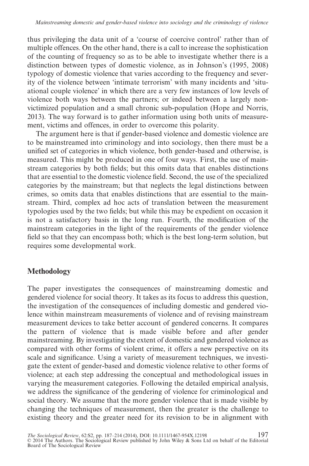thus privileging the data unit of a 'course of coercive control' rather than of multiple offences. On the other hand, there is a call to increase the sophistication of the counting of frequency so as to be able to investigate whether there is a distinction between types of domestic violence, as in Johnson's (1995, 2008) typology of domestic violence that varies according to the frequency and severity of the violence between 'intimate terrorism' with many incidents and 'situational couple violence' in which there are a very few instances of low levels of violence both ways between the partners; or indeed between a largely nonvictimized population and a small chronic sub-population (Hope and Norris, 2013). The way forward is to gather information using both units of measurement, victims and offences, in order to overcome this polarity.

The argument here is that if gender-based violence and domestic violence are to be mainstreamed into criminology and into sociology, then there must be a unified set of categories in which violence, both gender-based and otherwise, is measured. This might be produced in one of four ways. First, the use of mainstream categories by both fields; but this omits data that enables distinctions that are essential to the domestic violence field. Second, the use of the specialized categories by the mainstream; but that neglects the legal distinctions between crimes, so omits data that enables distinctions that are essential to the mainstream. Third, complex ad hoc acts of translation between the measurement typologies used by the two fields; but while this may be expedient on occasion it is not a satisfactory basis in the long run. Fourth, the modification of the mainstream categories in the light of the requirements of the gender violence field so that they can encompass both; which is the best long-term solution, but requires some developmental work.

#### **Methodology**

The paper investigates the consequences of mainstreaming domestic and gendered violence for social theory. It takes as its focus to address this question, the investigation of the consequences of including domestic and gendered violence within mainstream measurements of violence and of revising mainstream measurement devices to take better account of gendered concerns. It compares the pattern of violence that is made visible before and after gender mainstreaming. By investigating the extent of domestic and gendered violence as compared with other forms of violent crime, it offers a new perspective on its scale and significance. Using a variety of measurement techniques, we investigate the extent of gender-based and domestic violence relative to other forms of violence; at each step addressing the conceptual and methodological issues in varying the measurement categories. Following the detailed empirical analysis, we address the significance of the gendering of violence for criminological and social theory. We assume that the more gender violence that is made visible by changing the techniques of measurement, then the greater is the challenge to existing theory and the greater need for its revision to be in alignment with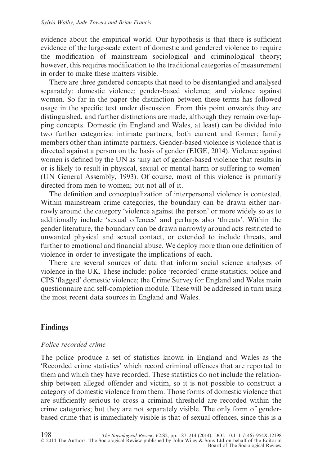evidence about the empirical world. Our hypothesis is that there is sufficient evidence of the large-scale extent of domestic and gendered violence to require the modification of mainstream sociological and criminological theory; however, this requires modification to the traditional categories of measurement in order to make these matters visible.

There are three gendered concepts that need to be disentangled and analysed separately: domestic violence; gender-based violence; and violence against women. So far in the paper the distinction between these terms has followed usage in the specific text under discussion. From this point onwards they are distinguished, and further distinctions are made, although they remain overlapping concepts. Domestic (in England and Wales, at least) can be divided into two further categories: intimate partners, both current and former; family members other than intimate partners. Gender-based violence is violence that is directed against a person on the basis of gender (EIGE, 2014). Violence against women is defined by the UN as 'any act of gender-based violence that results in or is likely to result in physical, sexual or mental harm or suffering to women' (UN General Assembly, 1993). Of course, most of this violence is primarily directed from men to women; but not all of it.

The definition and conceptualization of interpersonal violence is contested. Within mainstream crime categories, the boundary can be drawn either narrowly around the category 'violence against the person' or more widely so as to additionally include 'sexual offences' and perhaps also 'threats'. Within the gender literature, the boundary can be drawn narrowly around acts restricted to unwanted physical and sexual contact, or extended to include threats, and further to emotional and financial abuse. We deploy more than one definition of violence in order to investigate the implications of each.

There are several sources of data that inform social science analyses of violence in the UK. These include: police 'recorded' crime statistics; police and CPS 'flagged' domestic violence; the Crime Survey for England and Wales main questionnaire and self-completion module. These will be addressed in turn using the most recent data sources in England and Wales.

#### **Findings**

#### *Police recorded crime*

The police produce a set of statistics known in England and Wales as the 'Recorded crime statistics' which record criminal offences that are reported to them and which they have recorded. These statistics do not include the relationship between alleged offender and victim, so it is not possible to construct a category of domestic violence from them. Those forms of domestic violence that are sufficiently serious to cross a criminal threshold are recorded within the crime categories; but they are not separately visible. The only form of genderbased crime that is immediately visible is that of sexual offences, since this is a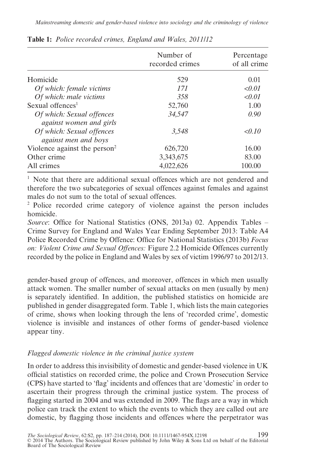|                                                      | Number of<br>recorded crimes | Percentage<br>of all crime |
|------------------------------------------------------|------------------------------|----------------------------|
|                                                      |                              |                            |
| Homicide                                             | 529                          | 0.01                       |
| <i>Of which: female victims</i>                      | 171                          | < 0.01                     |
| Of which: male victims                               | 358                          | < 0.01                     |
| Sexual offences <sup>1</sup>                         | 52,760                       | 1.00                       |
| Of which: Sexual offences<br>against women and girls | 34.547                       | 0.90                       |
| Of which: Sexual offences<br>against men and boys    | 3.548                        | < 0.10                     |
| Violence against the person $2$                      | 626,720                      | 16.00                      |
| Other crime                                          | 3,343,675                    | 83.00                      |
| All crimes                                           | 4.022.626                    | 100.00                     |

**Table 1:** *Police recorded crimes, England and Wales, 2011/12*

<sup>1</sup> Note that there are additional sexual offences which are not gendered and therefore the two subcategories of sexual offences against females and against males do not sum to the total of sexual offences.

<sup>2</sup> Police recorded crime category of violence against the person includes homicide.

*Source*: Office for National Statistics (ONS, 2013a) 02. Appendix Tables – Crime Survey for England and Wales Year Ending September 2013: Table A4 Police Recorded Crime by Offence: Office for National Statistics (2013b) *Focus on: Violent Crime and Sexual Offences:* Figure 2.2 Homicide Offences currently recorded by the police in England and Wales by sex of victim 1996/97 to 2012/13.

gender-based group of offences, and moreover, offences in which men usually attack women. The smaller number of sexual attacks on men (usually by men) is separately identified. In addition, the published statistics on homicide are published in gender disaggregated form. Table 1, which lists the main categories of crime, shows when looking through the lens of 'recorded crime', domestic violence is invisible and instances of other forms of gender-based violence appear tiny.

#### *Flagged domestic violence in the criminal justice system*

In order to address this invisibility of domestic and gender-based violence in UK official statistics on recorded crime, the police and Crown Prosecution Service (CPS) have started to 'flag' incidents and offences that are 'domestic' in order to ascertain their progress through the criminal justice system. The process of flagging started in 2004 and was extended in 2009. The flags are a way in which police can track the extent to which the events to which they are called out are domestic, by flagging those incidents and offences where the perpetrator was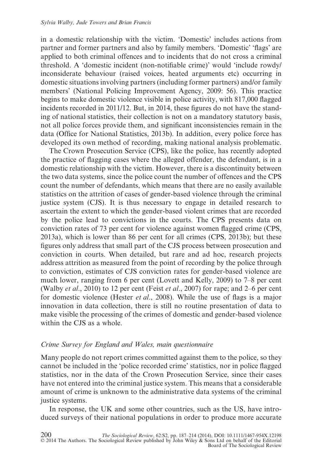in a domestic relationship with the victim. 'Domestic' includes actions from partner and former partners and also by family members. 'Domestic' 'flags' are applied to both criminal offences and to incidents that do not cross a criminal threshold. A 'domestic incident (non-notifiable crime)' would 'include rowdy/ inconsiderate behaviour (raised voices, heated arguments etc) occurring in domestic situations involving partners (including former partners) and/or family members' (National Policing Improvement Agency, 2009: 56). This practice begins to make domestic violence visible in police activity, with 817,000 flagged incidents recorded in 2011/12. But, in 2014, these figures do not have the standing of national statistics, their collection is not on a mandatory statutory basis, not all police forces provide them, and significant inconsistencies remain in the data (Office for National Statistics, 2013b). In addition, every police force has developed its own method of recording, making national analysis problematic.

The Crown Prosecution Service (CPS), like the police, has recently adopted the practice of flagging cases where the alleged offender, the defendant, is in a domestic relationship with the victim. However, there is a discontinuity between the two data systems, since the police count the number of offences and the CPS count the number of defendants, which means that there are no easily available statistics on the attrition of cases of gender-based violence through the criminal justice system (CJS). It is thus necessary to engage in detailed research to ascertain the extent to which the gender-based violent crimes that are recorded by the police lead to convictions in the courts. The CPS presents data on conviction rates of 73 per cent for violence against women flagged crime (CPS, 2013a), which is lower than 86 per cent for all crimes (CPS, 2013b); but these figures only address that small part of the CJS process between prosecution and conviction in courts. When detailed, but rare and ad hoc, research projects address attrition as measured from the point of recording by the police through to conviction, estimates of CJS conviction rates for gender-based violence are much lower, ranging from 6 per cent (Lovett and Kelly, 2009) to 7–8 per cent (Walby *et al*., 2010) to 12 per cent (Feist *et al*., 2007) for rape; and 2–6 per cent for domestic violence (Hester *et al*., 2008). While the use of flags is a major innovation in data collection, there is still no routine presentation of data to make visible the processing of the crimes of domestic and gender-based violence within the CJS as a whole.

#### *Crime Survey for England and Wales, main questionnaire*

Many people do not report crimes committed against them to the police, so they cannot be included in the 'police recorded crime' statistics, nor in police flagged statistics, nor in the data of the Crown Prosecution Service, since their cases have not entered into the criminal justice system. This means that a considerable amount of crime is unknown to the administrative data systems of the criminal justice systems.

In response, the UK and some other countries, such as the US, have introduced surveys of their national populations in order to produce more accurate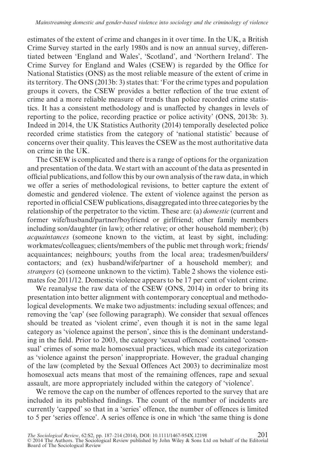estimates of the extent of crime and changes in it over time. In the UK, a British Crime Survey started in the early 1980s and is now an annual survey, differentiated between 'England and Wales', 'Scotland', and 'Northern Ireland'. The Crime Survey for England and Wales (CSEW) is regarded by the Office for National Statistics (ONS) as the most reliable measure of the extent of crime in its territory. The ONS (2013b: 3) states that: 'For the crime types and population groups it covers, the CSEW provides a better reflection of the true extent of crime and a more reliable measure of trends than police recorded crime statistics. It has a consistent methodology and is unaffected by changes in levels of reporting to the police, recording practice or police activity' (ONS, 2013b: 3). Indeed in 2014, the UK Statistics Authority (2014) temporally deselected police recorded crime statistics from the category of 'national statistic' because of concerns over their quality. This leaves the CSEW as the most authoritative data on crime in the UK.

The CSEW is complicated and there is a range of options for the organization and presentation of the data. We start with an account of the data as presented in official publications, and follow this by our own analysis of the raw data, in which we offer a series of methodological revisions, to better capture the extent of domestic and gendered violence. The extent of violence against the person as reported in official CSEW publications, disaggregated into three categories by the relationship of the perpetrator to the victim. These are: (a) *domestic* (current and former wife/husband/partner/boyfriend or girlfriend; other family members including son/daughter (in law); other relative; or other household member); (b) *acquaintances* (someone known to the victim, at least by sight, including: workmates/colleagues; clients/members of the public met through work; friends/ acquaintances; neighbours; youths from the local area; tradesmen/builders/ contactors; and (ex) husband/wife/partner of a household member); and *strangers* (c) (someone unknown to the victim). Table 2 shows the violence estimates foe 2011/12. Domestic violence appears to be 17 per cent of violent crime.

We reanalyse the raw data of the CSEW (ONS, 2014) in order to bring its presentation into better alignment with contemporary conceptual and methodological developments. We make two adjustments: including sexual offences; and removing the 'cap' (see following paragraph). We consider that sexual offences should be treated as 'violent crime', even though it is not in the same legal category as 'violence against the person', since this is the dominant understanding in the field. Prior to 2003, the category 'sexual offences' contained 'consensual' crimes of some male homosexual practices, which made its categorization as 'violence against the person' inappropriate. However, the gradual changing of the law (completed by the Sexual Offences Act 2003) to decriminalize most homosexual acts means that most of the remaining offences, rape and sexual assault, are more appropriately included within the category of 'violence'.

We remove the cap on the number of offences reported to the survey that are included in its published findings. The count of the number of incidents are currently 'capped' so that in a 'series' offence, the number of offences is limited to 5 per 'series offence'. A series offence is one in which 'the same thing is done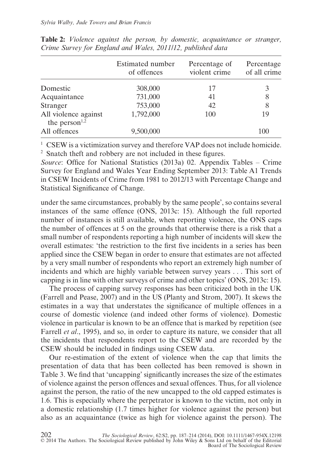|                                                   | Estimated number<br>of offences | Percentage of<br>violent crime | Percentage<br>of all crime |
|---------------------------------------------------|---------------------------------|--------------------------------|----------------------------|
| Domestic                                          | 308,000                         | 17                             | 3                          |
| Acquaintance                                      | 731,000                         | 41                             | 8                          |
| Stranger                                          | 753,000                         | 42                             | 8                          |
| All violence against<br>the person <sup>1,2</sup> | 1,792,000                       | 100                            | 19                         |
| All offences                                      | 9,500,000                       |                                | 100                        |

**Table 2:** *Violence against the person, by domestic, acquaintance or stranger, Crime Survey for England and Wales, 2011/12, published data*

 $1 \text{ CSEW}$  is a victimization survey and therefore VAP does not include homicide. <sup>2</sup> Snatch theft and robbery are not included in these figures.

*Source*: Office for National Statistics (2013a) 02. Appendix Tables – Crime Survey for England and Wales Year Ending September 2013: Table A1 Trends in CSEW Incidents of Crime from 1981 to 2012/13 with Percentage Change and Statistical Significance of Change.

under the same circumstances, probably by the same people', so contains several instances of the same offence (ONS, 2013c: 15). Although the full reported number of instances is still available, when reporting violence, the ONS caps the number of offences at 5 on the grounds that otherwise there is a risk that a small number of respondents reporting a high number of incidents will skew the overall estimates: 'the restriction to the first five incidents in a series has been applied since the CSEW began in order to ensure that estimates are not affected by a very small number of respondents who report an extremely high number of incidents and which are highly variable between survey years . . . This sort of capping is in line with other surveys of crime and other topics' (ONS, 2013c: 15).

The process of capping survey responses has been criticized both in the UK (Farrell and Pease, 2007) and in the US (Planty and Strom, 2007). It skews the estimates in a way that understates the significance of multiple offences in a course of domestic violence (and indeed other forms of violence). Domestic violence in particular is known to be an offence that is marked by repetition (see Farrell *et al*., 1995), and so, in order to capture its nature, we consider that all the incidents that respondents report to the CSEW and are recorded by the CSEW should be included in findings using CSEW data.

Our re-estimation of the extent of violence when the cap that limits the presentation of data that has been collected has been removed is shown in Table 3. We find that 'uncapping' significantly increases the size of the estimates of violence against the person offences and sexual offences. Thus, for all violence against the person, the ratio of the new uncapped to the old capped estimates is 1.6. This is especially where the perpetrator is known to the victim, not only in a domestic relationship (1.7 times higher for violence against the person) but also as an acquaintance (twice as high for violence against the person). The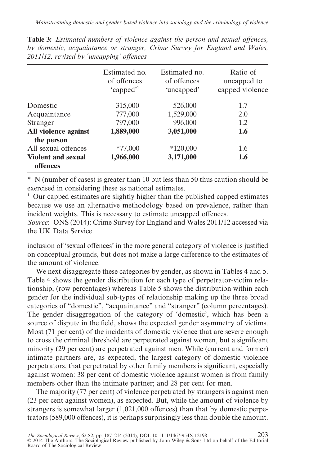|                                       | Estimated no.<br>of offences<br>'capped' <sup>1</sup> | Estimated no.<br>of offences<br>'uncapped' | Ratio of<br>uncapped to<br>capped violence |
|---------------------------------------|-------------------------------------------------------|--------------------------------------------|--------------------------------------------|
| Domestic                              | 315,000                                               | 526,000                                    | 1.7                                        |
| Acquaintance                          | 777,000                                               | 1,529,000                                  | 2.0                                        |
| Stranger                              | 797,000                                               | 996,000                                    | 1.2                                        |
| All violence against                  | 1,889,000                                             | 3,051,000                                  | 1.6                                        |
| the person                            |                                                       |                                            |                                            |
| All sexual offences                   | $*77,000$                                             | $*120,000$                                 | 1.6                                        |
| <b>Violent and sexual</b><br>offences | 1,966,000                                             | 3,171,000                                  | 1.6                                        |

**Table 3:** *Estimated numbers of violence against the person and sexual offences, by domestic, acquaintance or stranger, Crime Survey for England and Wales, 2011/12, revised by 'uncapping' offences*

\* N (number of cases) is greater than 10 but less than 50 thus caution should be exercised in considering these as national estimates.

<sup>1</sup> Our capped estimates are slightly higher than the published capped estimates because we use an alternative methodology based on prevalence, rather than incident weights. This is necessary to estimate uncapped offences.

*Source*: ONS (2014): Crime Survey for England and Wales 2011/12 accessed via the UK Data Service.

inclusion of 'sexual offences' in the more general category of violence is justified on conceptual grounds, but does not make a large difference to the estimates of the amount of violence.

We next disaggregate these categories by gender, as shown in Tables 4 and 5. Table 4 shows the gender distribution for each type of perpetrator-victim relationship, (row percentages) whereas Table 5 shows the distribution within each gender for the individual sub-types of relationship making up the three broad categories of "domestic", "acquaintance" and "stranger" (column percentages). The gender disaggregation of the category of 'domestic', which has been a source of dispute in the field, shows the expected gender asymmetry of victims. Most (71 per cent) of the incidents of domestic violence that are severe enough to cross the criminal threshold are perpetrated against women, but a significant minority (29 per cent) are perpetrated against men. While (current and former) intimate partners are, as expected, the largest category of domestic violence perpetrators, that perpetrated by other family members is significant, especially against women: 38 per cent of domestic violence against women is from family members other than the intimate partner; and 28 per cent for men.

The majority (77 per cent) of violence perpetrated by strangers is against men (23 per cent against women), as expected. But, while the amount of violence by strangers is somewhat larger (1,021,000 offences) than that by domestic perpetrators (589,000 offences), it is perhaps surprisingly less than double the amount.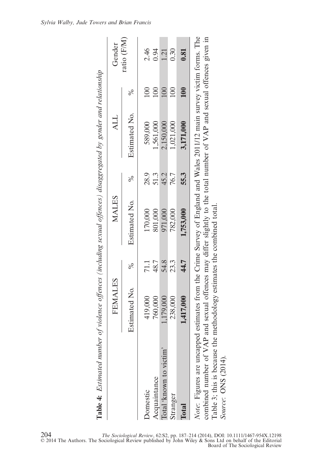|                                                                                                                                                                                                                                                 | <b>FEMALES</b> |      | <b>MALES</b>  |               | ALL           |               | Gender      |
|-------------------------------------------------------------------------------------------------------------------------------------------------------------------------------------------------------------------------------------------------|----------------|------|---------------|---------------|---------------|---------------|-------------|
|                                                                                                                                                                                                                                                 | Estimated No.  | $\%$ | Estimated No. | $\frac{6}{6}$ | Estimated No. | $\frac{5}{6}$ | ratio (F/M) |
| Domestic                                                                                                                                                                                                                                        | 419,000        | 71.1 | 170,000       | 28.9          | 589,000       |               | 2.46        |
| Acquaintance                                                                                                                                                                                                                                    | 760,000        | 48.7 | 801,000       | 51.3          | 1,561,000     |               | 0.94        |
| Total 'known to victim'                                                                                                                                                                                                                         | 1,179,000      | 54.8 | 971,000       | 45.2          | 2,150,000     |               | 1.21        |
| Stranger                                                                                                                                                                                                                                        | 238,000        | 23.3 | 782,000       | 76.7          | 1,021,000     | $\Xi$         | 0.30        |
| Total                                                                                                                                                                                                                                           | 1,417,000      | 44.7 | 1,753,000     | 55.3          | 3,171,000     |               | 0.81        |
| Note: Figures are uncapped estimates from the Crime Survey of England and Wales 2011/12 main survey victim forms. The<br>combined number of VAP and sexual offences may differ slightly to the total number of VAP and sexual offences given in |                |      |               |               |               |               |             |
| Table 3; this is because the methodology estimates the combined total                                                                                                                                                                           |                |      |               |               |               |               |             |

Source: ONS (2014). *Source*: ONS (2014).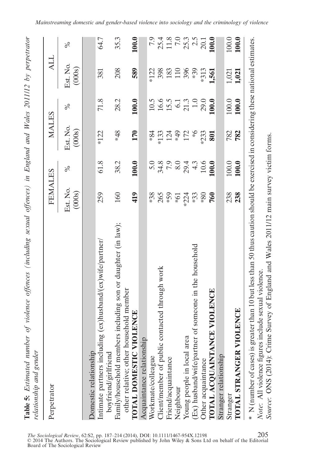Table 5: Estimated number of violence offences (including sexual offences) in England and Wales 2011/12 by perpetrator Table 5: Estimated number of violence offences (including sexual offences) in England and Wales 2011/12 by perpetrator *relationship and gender*  $\overline{L}$ 

| Perpetrator                                                                                               | <b>FEMALES</b>     |               | <b>MALES</b>            |                               | ALL                |                 |
|-----------------------------------------------------------------------------------------------------------|--------------------|---------------|-------------------------|-------------------------------|--------------------|-----------------|
|                                                                                                           | Est. No.<br>(000s) | $\%$          | Est. No.<br>(000s)      | $\%$                          | Est. No.<br>(000s) | $\%$            |
| Oomestic relationship                                                                                     |                    |               |                         |                               |                    |                 |
| Intimate partners including (ex)husband/(ex)wife/partner/<br>boyfriend/girlfriend                         | 259                | 61.8          | $*122$                  | 71.8                          | 381                | 64.7            |
| Family/household members including son or daughter (in law);<br>other relative; other household member    | 160                | 38.2          | $*48$                   | 28.2                          | 208                | 35.3            |
| VIOLENCE<br>TOTAL DOMESTIC                                                                                | 419                | 100.0         | 170                     | 100.0                         | 589                | 100.0           |
| aship<br>Acquaintance relation                                                                            |                    |               |                         |                               |                    |                 |
| Workmate/colleague                                                                                        | $*38$              |               | $*84$                   | $10.5$                        | *122               |                 |
| Client/member of public contacted through work                                                            | 265                | 34.8          | $*133$                  |                               | 398                |                 |
| Friend/acquaintance                                                                                       | $*59$              | 7.9           | 124                     | 16.6<br>15.5                  | 183                | 25.4<br>11.8    |
| Neighbour                                                                                                 | $*61$              | 8.0           | $6t*$                   |                               | 110                | 7.0             |
|                                                                                                           | *224               | 29.4          | 172                     | $6.1$<br>21.3<br>29.0<br>29.0 | 396                | $25.3$<br>$2.5$ |
|                                                                                                           | $*33$              | $4.3$<br>10.6 | $\widetilde{\varphi}^*$ |                               | $*39$              |                 |
| Young people in local area<br>(Ex) husband/wife/partner of someone in the household<br>Other acquaintance | $*80$              |               | $*233$                  |                               | $*313$             | 20.1            |
| ANCE VIOLENCE<br><b>TOTAL ACQUAINT</b>                                                                    | 760                | 100.0         | 801                     | 100.0                         | 1,561              | 100.0           |
| Stranger relationship                                                                                     |                    |               |                         |                               |                    |                 |
| Stranger                                                                                                  | 238                | 100.0         | 782                     | 100.0                         | 1,021              | 100.0           |
| <b>INDITIONAL</b><br><b>FOTAL STRANGER</b>                                                                | 238                | 100.0         | 782                     | 100.0                         | 1,021              | 100.0           |

Source: ONS (2014): Crime Survey of England and Wales 2011/12 main survey victim forms. *Source*: ONS (2014): Crime Survey of England and Wales 2011/12 main survey victim forms.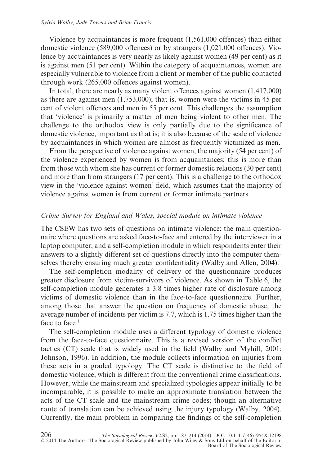Violence by acquaintances is more frequent (1,561,000 offences) than either domestic violence (589,000 offences) or by strangers (1,021,000 offences). Violence by acquaintances is very nearly as likely against women (49 per cent) as it is against men (51 per cent). Within the category of acquaintances, women are especially vulnerable to violence from a client or member of the public contacted through work (265,000 offences against women).

In total, there are nearly as many violent offences against women (1,417,000) as there are against men (1,753,000); that is, women were the victims in 45 per cent of violent offences and men in 55 per cent. This challenges the assumption that 'violence' is primarily a matter of men being violent to other men. The challenge to the orthodox view is only partially due to the significance of domestic violence, important as that is; it is also because of the scale of violence by acquaintances in which women are almost as frequently victimized as men.

From the perspective of violence against women, the majority (54 per cent) of the violence experienced by women is from acquaintances; this is more than from those with whom she has current or former domestic relations (30 per cent) and more than from strangers (17 per cent). This is a challenge to the orthodox view in the 'violence against women' field, which assumes that the majority of violence against women is from current or former intimate partners.

#### *Crime Survey for England and Wales, special module on intimate violence*

The CSEW has two sets of questions on intimate violence: the main questionnaire where questions are asked face-to-face and entered by the interviewer in a laptop computer; and a self-completion module in which respondents enter their answers to a slightly different set of questions directly into the computer themselves thereby ensuring much greater confidentiality (Walby and Allen, 2004).

The self-completion modality of delivery of the questionnaire produces greater disclosure from victim-survivors of violence. As shown in Table 6, the self-completion module generates a 3.8 times higher rate of disclosure among victims of domestic violence than in the face-to-face questionnaire. Further, among those that answer the question on frequency of domestic abuse, the average number of incidents per victim is 7.7, which is 1.75 times higher than the face to face.<sup>1</sup>

The self-completion module uses a different typology of domestic violence from the face-to-face questionnaire. This is a revised version of the conflict tactics (CT) scale that is widely used in the field (Walby and Myhill, 2001; Johnson, 1996). In addition, the module collects information on injuries from these acts in a graded typology. The CT scale is distinctive to the field of domestic violence, which is different from the conventional crime classifications. However, while the mainstream and specialized typologies appear initially to be incomparable, it is possible to make an approximate translation between the acts of the CT scale and the mainstream crime codes; though an alternative route of translation can be achieved using the injury typology (Walby, 2004). Currently, the main problem in comparing the findings of the self-completion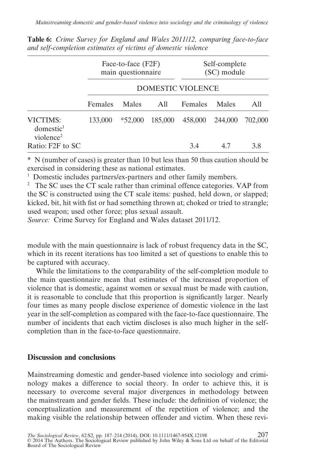|                                                            |                                                                  | Face-to-face (F2F)<br>main questionnaire |     |                   | Self-complete<br>(SC) module |     |  |
|------------------------------------------------------------|------------------------------------------------------------------|------------------------------------------|-----|-------------------|------------------------------|-----|--|
|                                                            |                                                                  |                                          |     | DOMESTIC VIOLENCE |                              |     |  |
|                                                            | Females                                                          | Males                                    | All | Females           | Males                        | All |  |
| VICTIMS:<br>domestic <sup>1</sup><br>violence <sup>2</sup> | 133.000<br>$*52,000$<br>185,000<br>458,000<br>244,000<br>702,000 |                                          |     |                   |                              |     |  |
| Ratio: F2F to SC                                           |                                                                  |                                          |     | 3.4               | 47                           | 3.8 |  |

**Table 6:** *Crime Survey for England and Wales 2011/12, comparing face-to-face and self-completion estimates of victims of domestic violence*

\* N (number of cases) is greater than 10 but less than 50 thus caution should be exercised in considering these as national estimates.

<sup>1</sup> Domestic includes partners/ex-partners and other family members.

<sup>2</sup> The SC uses the CT scale rather than criminal offence categories. VAP from the SC is constructed using the CT scale items: pushed, held down, or slapped; kicked, bit, hit with fist or had something thrown at; choked or tried to strangle; used weapon; used other force; plus sexual assault.

*Source:* Crime Survey for England and Wales dataset 2011/12.

module with the main questionnaire is lack of robust frequency data in the SC, which in its recent iterations has too limited a set of questions to enable this to be captured with accuracy.

While the limitations to the comparability of the self-completion module to the main questionnaire mean that estimates of the increased proportion of violence that is domestic, against women or sexual must be made with caution, it is reasonable to conclude that this proportion is significantly larger. Nearly four times as many people disclose experience of domestic violence in the last year in the self-completion as compared with the face-to-face questionnaire. The number of incidents that each victim discloses is also much higher in the selfcompletion than in the face-to-face questionnaire.

#### **Discussion and conclusions**

Mainstreaming domestic and gender-based violence into sociology and criminology makes a difference to social theory. In order to achieve this, it is necessary to overcome several major divergences in methodology between the mainstream and gender fields. These include: the definition of violence; the conceptualization and measurement of the repetition of violence; and the making visible the relationship between offender and victim. When these revi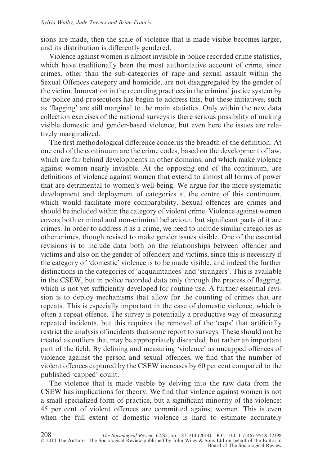sions are made, then the scale of violence that is made visible becomes larger, and its distribution is differently gendered.

Violence against women is almost invisible in police recorded crime statistics, which have traditionally been the most authoritative account of crime, since crimes, other than the sub-categories of rape and sexual assault within the Sexual Offences category and homicide, are not disaggregated by the gender of the victim. Innovation in the recording practices in the criminal justice system by the police and prosecutors has begun to address this, but these initiatives, such as 'flagging' are still marginal to the main statistics. Only within the new data collection exercises of the national surveys is there serious possibility of making visible domestic and gender-based violence; but even here the issues are relatively marginalized.

The first methodological difference concerns the breadth of the definition. At one end of the continuum are the crime codes, based on the development of law, which are far behind developments in other domains, and which make violence against women nearly invisible. At the opposing end of the continuum, are definitions of violence against women that extend to almost all forms of power that are detrimental to women's well-being. We argue for the more systematic development and deployment of categories at the centre of this continuum, which would facilitate more comparability. Sexual offences are crimes and should be included within the category of violent crime. Violence against women covers both criminal and non-criminal behaviour, but significant parts of it are crimes. In order to address it as a crime, we need to include similar categories as other crimes, though revised to make gender issues visible. One of the essential revisions is to include data both on the relationships between offender and victims and also on the gender of offenders and victims, since this is necessary if the category of 'domestic' violence is to be made visible, and indeed the further distinctions in the categories of 'acquaintances' and 'strangers'. This is available in the CSEW, but in police recorded data only through the process of flagging, which is not yet sufficiently developed for routine use. A further essential revision is to deploy mechanisms that allow for the counting of crimes that are repeats. This is especially important in the case of domestic violence, which is often a repeat offence. The survey is potentially a productive way of measuring repeated incidents, but this requires the removal of the 'caps' that artificially restrict the analysis of incidents that some report to surveys. These should not be treated as outliers that may be appropriately discarded, but rather an important part of the field. By defining and measuring 'violence' as uncapped offences of violence against the person and sexual offences, we find that the number of violent offences captured by the CSEW increases by 60 per cent compared to the published 'capped' count.

The violence that is made visible by delving into the raw data from the CSEW has implications for theory. We find that violence against women is not a small specialized form of practice, but a significant minority of the violence: 45 per cent of violent offences are committed against women. This is even when the full extent of domestic violence is hard to estimate accurately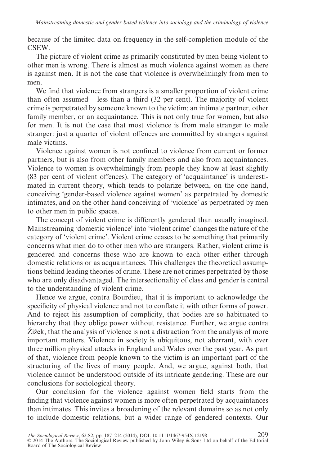because of the limited data on frequency in the self-completion module of the CSEW.

The picture of violent crime as primarily constituted by men being violent to other men is wrong. There is almost as much violence against women as there is against men. It is not the case that violence is overwhelmingly from men to men.

We find that violence from strangers is a smaller proportion of violent crime than often assumed – less than a third (32 per cent). The majority of violent crime is perpetrated by someone known to the victim: an intimate partner, other family member, or an acquaintance. This is not only true for women, but also for men. It is not the case that most violence is from male stranger to male stranger: just a quarter of violent offences are committed by strangers against male victims.

Violence against women is not confined to violence from current or former partners, but is also from other family members and also from acquaintances. Violence to women is overwhelmingly from people they know at least slightly (83 per cent of violent offences). The category of 'acquaintance' is underestimated in current theory, which tends to polarize between, on the one hand, conceiving 'gender-based violence against women' as perpetrated by domestic intimates, and on the other hand conceiving of 'violence' as perpetrated by men to other men in public spaces.

The concept of violent crime is differently gendered than usually imagined. Mainstreaming 'domestic violence' into 'violent crime' changes the nature of the category of 'violent crime'. Violent crime ceases to be something that primarily concerns what men do to other men who are strangers. Rather, violent crime is gendered and concerns those who are known to each other either through domestic relations or as acquaintances. This challenges the theoretical assumptions behind leading theories of crime. These are not crimes perpetrated by those who are only disadvantaged. The intersectionality of class and gender is central to the understanding of violent crime.

Hence we argue, contra Bourdieu, that it is important to acknowledge the specificity of physical violence and not to conflate it with other forms of power. And to reject his assumption of complicity, that bodies are so habituated to hierarchy that they oblige power without resistance. Further, we argue contra Žižek, that the analysis of violence is not a distraction from the analysis of more important matters. Violence in society is ubiquitous, not aberrant, with over three million physical attacks in England and Wales over the past year. As part of that, violence from people known to the victim is an important part of the structuring of the lives of many people. And, we argue, against both, that violence cannot be understood outside of its intricate gendering. These are our conclusions for sociological theory.

Our conclusion for the violence against women field starts from the finding that violence against women is more often perpetrated by acquaintances than intimates. This invites a broadening of the relevant domains so as not only to include domestic relations, but a wider range of gendered contexts. Our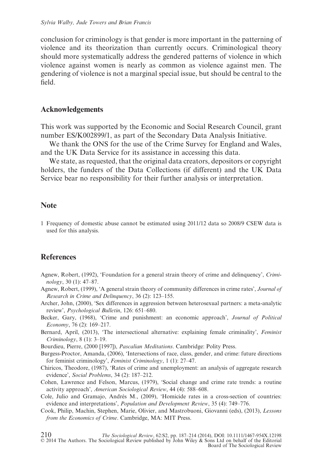conclusion for criminology is that gender is more important in the patterning of violence and its theorization than currently occurs. Criminological theory should more systematically address the gendered patterns of violence in which violence against women is nearly as common as violence against men. The gendering of violence is not a marginal special issue, but should be central to the field.

#### **Acknowledgements**

This work was supported by the Economic and Social Research Council, grant number ES/K002899/1, as part of the Secondary Data Analysis Initiative.

We thank the ONS for the use of the Crime Survey for England and Wales, and the UK Data Service for its assistance in accessing this data.

We state, as requested, that the original data creators, depositors or copyright holders, the funders of the Data Collections (if different) and the UK Data Service bear no responsibility for their further analysis or interpretation.

#### **Note**

1 Frequency of domestic abuse cannot be estimated using 2011/12 data so 2008/9 CSEW data is used for this analysis.

#### **References**

- Agnew, Robert, (1992), 'Foundation for a general strain theory of crime and delinquency', *Criminology*, 30 (1): 47–87.
- Agnew, Robert, (1999), 'A general strain theory of community differences in crime rates', *Journal of Research in Crime and Delinquency*, 36 (2): 123–155.
- Archer, John, (2000), 'Sex differences in aggression between heterosexual partners: a meta-analytic review', *Psychological Bulletin*, 126: 651–680.
- Becker, Gary, (1968), 'Crime and punishment: an economic approach', *Journal of Political Economy*, 76 (2): 169–217.
- Bernard, April, (2013), 'The intersectional alternative: explaining female criminality', *Feminist Criminology*, 8 (1): 3–19.

Bourdieu, Pierre, (2000 [1997]), *Pascalian Meditations*. Cambridge: Polity Press.

- Burgess-Proctor, Amanda, (2006), 'Intersections of race, class, gender, and crime: future directions for feminist criminology', *Feminist Criminology*, 1 (1): 27–47.
- Chiricos, Theodore, (1987), 'Rates of crime and unemployment: an analysis of aggregate research evidence', *Social Problems*, 34 (2): 187–212.
- Cohen, Lawrence and Felson, Marcus, (1979), 'Social change and crime rate trends: a routine activity approach', *American Sociological Review*, 44 (4): 588–608.
- Cole, Julio and Gramajo, Andrés M., (2009), 'Homicide rates in a cross-section of countries: evidence and interpretations', *Population and Development Review*, 35 (4): 749–776.
- Cook, Philip, Machin, Stephen, Marie, Olivier, and Mastrobuoni, Giovanni (eds), (2013), *Lessons from the Economics of Crime*. Cambridge, MA: MIT Press.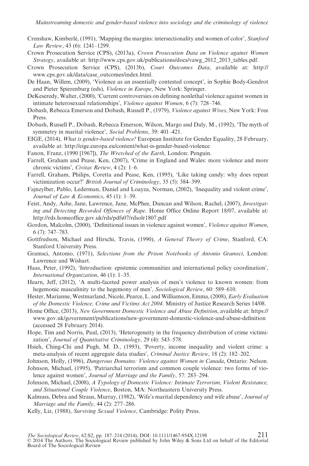- Crenshaw, Kimberlé, (1991), 'Mapping the margins: intersectionality and women of color', *Stanford Law Review*, 43 (6): 1241–1299.
- Crown Prosecution Service (CPS), (2013a), *Crown Prosecution Data on Violence against Women Strategy*, available at: [http://www.cps.gov.uk/publications/docs/vawg\\_2012\\_2013\\_tables.pdf.](http://www.cps.gov.uk/publications/docs/vawg_2012_2013_tables.pdf)
- Crown Prosecution Service (CPS), (2013b), *Court Outcomes Data*, available at: [http://](http://www.cps.gov.uk/data/case_outcomes/index.html) [www.cps.gov.uk/data/case\\_outcomes/index.html.](http://www.cps.gov.uk/data/case_outcomes/index.html)
- De Haan, Willem, (2009), 'Violence as an essentially contested concept', in Sophie Body-Gendrot and Pieter Spierenburg (eds), *Violence in Europe*, New York: Springer.
- DeKeseredy, Walter, (2000), 'Current controversies on defining nonlethal violence against women in intimate heterosexual relationships', *Violence against Women*, 6 (7): 728–746.
- Dobash, Rebecca Emerson and Dobash, Russell P., (1979), *Violence against Wives*, New York: Free Press.
- Dobash, Russell P., Dobash, Rebecca Emerson, Wilson, Margo and Daly, M., (1992), 'The myth of symmetry in marital violence', *Social Problems*, 39: 401–421.
- EIGE, (2014), *What is gender-based violence?* European Institute for Gender Equality, 28 February, available at:<http://eige.europa.eu/content/what-is-gender-based-violence>
- Fanon, Franz, (1990 [1967]), *The Wretched of the Earth*, London: Penguin.
- Farrell, Graham and Pease, Ken, (2007), 'Crime in England and Wales: more violence and more chronic victims', *Civitas Review*, 4 (2): 1–6.
- Farrell, Graham, Philips, Coretta and Pease, Ken, (1995), 'Like taking candy: why does repeat victimization occur?' *British Journal of Criminology*, 35 (5): 384–399.
- Fajnzylber, Pablo, Lederman, Daniel and Loayza, Norman, (2002), 'Inequality and violent crime', *Journal of Law & Economics*, 45 (1): 1–39.
- Feist, Andy, Ashe, Jane, Lawrence, Jane, McPhee, Duncan and Wilson, Rachel, (2007), *Investigating and Detecting Recorded Offences of Rape*. Home Office Online Report 18/07, available at: <http://rds.homeoffice.gov.uk/rds/pdfs07/rdsolr1807.pdf>
- Gordon, Malcolm, (2000), 'Definitional issues in violence against women', *Violence against Women*, 6 (7): 747–783.
- Gottfredson, Michael and Hirschi, Travis, (1990), *A General Theory of Crime*, Stanford, CA: Stanford University Press.
- Gramsci, Antonio, (1971), *Selections from the Prison Notebooks of Antonio Gramsci*, London: Lawrence and Wishart.
- Haas, Peter, (1992), 'Introduction: epistemic communities and international policy coordination', *International Organization*, 46 (1): 1–35.
- Hearn, Jeff, (2012), 'A multi-faceted power analysis of men's violence to known women: from hegemonic masculinity to the hegemony of men', *Sociological Review*, 60: 589–610.
- Hester, Marianne, Westmarland, Nicole, Pearce, L. and Williamson, Emma, (2008), *Early Evaluation of the Domestic Violence, Crime and Victims Act 2004*. Ministry of Justice Research Series 14/08.
- Home Office, (2013), *New Government Domestic Violence and Abuse Definition*, available at: [https://](https://www.gov.uk/government/publications/new-government-domestic-violence-and-abuse-definition) [www.gov.uk/government/publications/new-government-domestic-violence-and-abuse-definition](https://www.gov.uk/government/publications/new-government-domestic-violence-and-abuse-definition) (accessed 28 February 2014).
- Hope, Tim and Norris, Paul, (2013), 'Heterogeneity in the frequency distribution of crime victimization', *Journal of Quantitative Criminology*, 29 (4): 543–578.
- Hsieh, Ching-Chi and Pugh, M. D., (1993), 'Poverty, income inequality and violent crime: a meta-analysis of recent aggregate data studies', *Criminal Justice Review*, 18 (2): 182–202.
- Johnson, Holly, (1996), *Dangerous Domains: Violence against Women in Canada*, Ontario: Nelson.
- Johnson, Michael, (1995), 'Patriarchal terrorism and common couple violence: two forms of violence against women', *Journal of Marriage and the Family*, 57: 283–294.
- Johnson, Michael, (2008), *A Typology of Domestic Violence: Intimate Terrorism, Violent Resistance, and Situational Couple Violence*, Boston, MA: Northeastern University Press.
- Kalmuss, Debra and Straus, Murray, (1982), 'Wife's marital dependency and wife abuse', *Journal of Marriage and the Family*, 44 (2): 277–286.
- Kelly, Liz, (1988), *Surviving Sexual Violence*, Cambridge: Polity Press.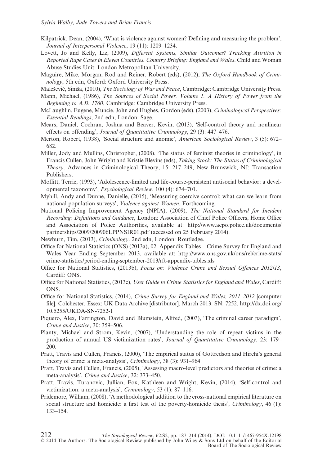- Kilpatrick, Dean, (2004), 'What is violence against women? Defining and measuring the problem', *Journal of Interpersonal Violence*, 19 (11): 1209–1234.
- Lovett, Jo and Kelly, Liz, (2009), *Different Systems, Similar Outcomes? Tracking Attrition in Reported Rape Cases in Eleven Countries. Country Briefing: England and Wales*. Child and Woman Abuse Studies Unit: London Metropolitan University.
- Maguire, Mike, Morgan, Rod and Reiner, Robert (eds), (2012), *The Oxford Handbook of Criminology*, 5th edn, Oxford: Oxford University Press.

Maleševic´, Siniša, (2010), *The Sociology of War and Peace*, Cambridge: Cambridge University Press.

- Mann, Michael, (1986), *The Sources of Social Power. Volume 1. A History of Power from the Beginning to A.D. 1760*, Cambridge: Cambridge University Press.
- McLaughlin, Eugene, Muncie, John and Hughes, Gordon (eds), (2003), *Criminological Perspectives: Essential Readings*, 2nd edn, London: Sage.
- Mears, Daniel, Cochran, Joshua and Beaver, Kevin, (2013), 'Self-control theory and nonlinear effects on offending', *Journal of Quantitative Criminology*, 29 (3): 447–476.
- Merton, Robert, (1938), 'Social structure and anomie', *American Sociological Review*, 3 (5): 672– 682.
- Miller, Jody and Mullins, Christopher, (2008), 'The status of feminist theories in criminology', in Francis Cullen, John Wright and Kristie Blevins (eds), *Taking Stock: The Status of Criminological Theory*. Advances in Criminological Theory, 15: 217–249, New Brunswick, NJ: Transaction Publishers.
- Moffitt, Terrie, (1993), 'Adolescence-limited and life-course-persistent antisocial behavior: a developmental taxonomy', *Psychological Review*, 100 (4): 674–701.
- Myhill, Andy and Dunne, Danielle, (2015), 'Measuring coercive control: what can we learn from national population surveys', *Violence against Women*. Forthcoming.
- National Policing Improvement Agency (NPIA), (2009), *The National Standard for Incident Recording: Definitions and Guidance*, London: Association of Chief Police Officers, Home Office and Association of Police Authorities, available at: [http://www.acpo.police.uk/documents/](http://www.acpo.police.uk/documents/partnerships/2009/200906LPPNSIR01.pdf) [partnerships/2009/200906LPPNSIR01.pdf](http://www.acpo.police.uk/documents/partnerships/2009/200906LPPNSIR01.pdf) (accessed on 25 February 2014).
- Newburn, Tim, (2013), *Criminology*. 2nd edn, London: Routledge.
- Office for National Statistics (ONS) (2013a), 02. Appendix Tables Crime Survey for England and Wales Year Ending September 2013, available at: [http://www.ons.gov.uk/ons/rel/crime-stats/](http://www.ons.gov.uk/ons/rel/crime-stats/crime-statistics/period-ending-september-2013/rft-appendix-tables.xls) [crime-statistics/period-ending-september-2013/rft-appendix-tables.xls](http://www.ons.gov.uk/ons/rel/crime-stats/crime-statistics/period-ending-september-2013/rft-appendix-tables.xls)
- Office for National Statistics, (2013b), *Focus on: Violence Crime and Sexual Offences 2012/13*, Cardiff: ONS.
- Office for National Statistics, (2013c), *User Guide to Crime Statistics for England and Wales*, Cardiff: ONS.
- Office for National Statistics, (2014), *Crime Survey for England and Wales, 2011–2012* [computer file]. Colchester, Essex: UK Data Archive [distributor], March 2013. SN: 7252, [http://dx.doi.org/](http://dx.doi.org/10.5255/UKDA-SN-7252-1) [10.5255/UKDA-SN-7252-1](http://dx.doi.org/10.5255/UKDA-SN-7252-1)
- Piquero, Alex, Farrington, David and Blumstein, Alfred, (2003), 'The criminal career paradigm', *Crime and Justice*, 30: 359–506.
- Planty, Michael and Strom, Kevin, (2007), 'Understanding the role of repeat victims in the production of annual US victimization rates', *Journal of Quantitative Criminology*, 23: 179– 200.
- Pratt, Travis and Cullen, Francis, (2000), 'The empirical status of Gottredson and Hirchi's general theory of crime: a meta-analysis', *Criminology*, 38 (3): 931–964.
- Pratt, Travis and Cullen, Francis, (2005), 'Assessing macro-level predictors and theories of crime: a meta-analysis', *Crime and Justice*, 32: 373–450.
- Pratt, Travis, Turanovic, Jullian, Fox, Kathleen and Wright, Kevin, (2014), 'Self-control and victimization: a meta-analysis', *Criminology*, 53 (1): 87–116.
- Pridemore, William, (2008), 'A methodological addition to the cross-national empirical literature on social structure and homicide: a first test of the poverty-homicide thesis', *Criminology*, 46 (1): 133–154.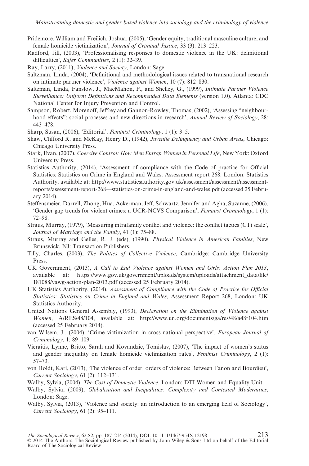- Pridemore, William and Freilich, Joshua, (2005), 'Gender equity, traditional masculine culture, and female homicide victimization', *Journal of Criminal Justice*, 33 (3): 213–223.
- Radford, Jill, (2003), 'Professionalising responses to domestic violence in the UK: definitional difficulties', *Safer Communities*, 2 (1): 32–39.

Ray, Larry, (2011), *Violence and Society*, London: Sage.

- Saltzman, Linda, (2004), 'Definitional and methodological issues related to transnational research on intimate partner violence', *Violence against Women*, 10 (7): 812–830.
- Saltzman, Linda, Fanslow, J., MacMahon, P., and Shelley, G., (1999), *Intimate Partner Violence Surveillance: Uniform Definitions and Recommended Data Elements* (version 1.0). Atlanta: CDC National Center for Injury Prevention and Control.
- Sampson, Robert, Morenoff, Jeffrey and Gannon-Rowley, Thomas, (2002), 'Assessing "neighbourhood effects": social processes and new directions in research', *Annual Review of Sociology*, 28: 443–478.

Sharp, Susan, (2006), 'Editorial', *Feminist Criminology*, 1 (1): 3–5.

- Shaw, Clifford R. and McKay, Henry D., (1942), *Juvenile Delinquency and Urban Areas*, Chicago: Chicago University Press.
- Stark, Evan, (2007), *Coercive Control: How Men Entrap Women in Personal Life*, New York: Oxford University Press.
- Statistics Authority, (2014), 'Assessment of compliance with the Code of practice for Official Statistics: Statistics on Crime in England and Wales. Assessment report 268. London: Statistics Authority, available at: [http://www.statisticsauthority.gov.uk/assessment/assessment/assessment](http://www.statisticsauthority.gov.uk/assessment/assessment/assessment-reports/assessment-report-268-statistics-on-crime-in-england-and-wales.pdf)[reports/assessment-report-268—statistics-on-crime-in-england-and-wales.pdf](http://www.statisticsauthority.gov.uk/assessment/assessment/assessment-reports/assessment-report-268-statistics-on-crime-in-england-and-wales.pdf) (accessed 25 February 2014).
- Steffensmeier, Darrell, Zhong, Hua, Ackerman, Jeff, Schwartz, Jennifer and Agha, Suzanne, (2006), 'Gender gap trends for violent crimes: a UCR-NCVS Comparison', *Feminist Criminology*, 1 (1): 72–98.
- Straus, Murray, (1979), 'Measuring intrafamily conflict and violence: the conflict tactics (CT) scale', *Journal of Marriage and the Family*, 41 (1): 75–88.
- Straus, Murray and Gelles, R. J. (eds), (1990), *Physical Violence in American Families*, New Brunswick, NJ: Transaction Publishers.
- Tilly, Charles, (2003), *The Politics of Collective Violence*, Cambridge: Cambridge University Press.
- UK Government, (2013), *A Call to End Violence against Women and Girls: Action Plan 2013*, available at: [https://www.gov.uk/government/uploads/system/uploads/attachment\\_data/file/](https://www.gov.uk/government/uploads/system/uploads/attachment_data/file/181088/vawg-action-plan-2013.pdf) [181088/vawg-action-plan-2013.pdf](https://www.gov.uk/government/uploads/system/uploads/attachment_data/file/181088/vawg-action-plan-2013.pdf) (accessed 25 February 2014).
- UK Statistics Authority, (2014), *Assessment of Compliance with the Code of Practice for Official Statistics: Statistics on Crime in England and Wales*, Assessment Report 268, London: UK Statistics Authority.
- United Nations General Assembly, (1993), *Declaration on the Elimination of Violence against Women*, A/RES/48/104, available at:<http://www.un.org/documents/ga/res/48/a48r104.htm> (accessed 25 February 2014).
- van Wilsem, J., (2004), 'Crime victimization in cross-national perspective', *European Journal of Criminology*, 1: 89–109.
- Vieraitis, Lynne, Britto, Sarah and Kovandzic, Tomislav, (2007), 'The impact of women's status and gender inequality on female homicide victimization rates', *Feminist Criminology*, 2 (1): 57–73.
- von Holdt, Karl, (2013), 'The violence of order, orders of violence: Between Fanon and Bourdieu', *Current Sociology*, 61 (2): 112–131.
- Walby, Sylvia, (2004), *The Cost of Domestic Violence*, London: DTI Women and Equality Unit.
- Walby, Sylvia, (2009), *Globalization and Inequalities: Complexity and Contested Modernities*, London: Sage.
- Walby, Sylvia, (2013), 'Violence and society: an introduction to an emerging field of Sociology', *Current Sociology*, 61 (2): 95–111.